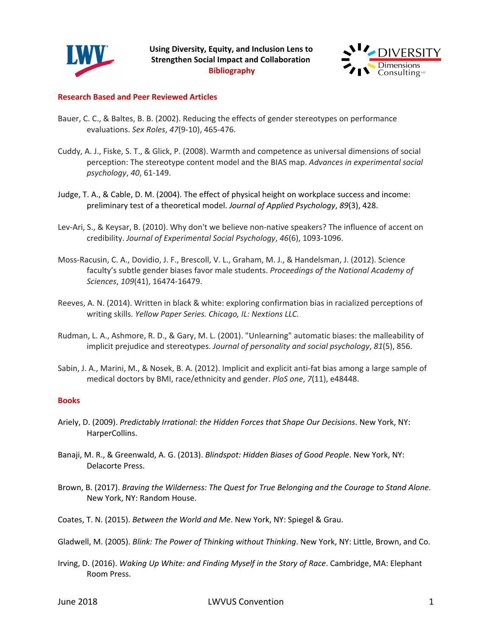



## **Research Based and Peer Reviewed Articles**

- Bauer, C. C., & Baltes, B. B. (2002). Reducing the effects of gender stereotypes on performance evaluations. *Sex Roles*, *47*(9-10), 465-476.
- Cuddy, A. J., Fiske, S. T., & Glick, P. (2008). Warmth and competence as universal dimensions of social perception: The stereotype content model and the BIAS map. *Advances in experimental social psychology*, *40*, 61-149.
- Judge, T. A., & Cable, D. M. (2004). The effect of physical height on workplace success and income: preliminary test of a theoretical model. *Journal of Applied Psychology*, *89*(3), 428.
- Lev-Ari, S., & Keysar, B. (2010). Why don't we believe non-native speakers? The influence of accent on credibility. *Journal of Experimental Social Psychology*, *46*(6), 1093-1096.
- Moss-Racusin, C. A., Dovidio, J. F., Brescoll, V. L., Graham, M. J., & Handelsman, J. (2012). Science faculty's subtle gender biases favor male students. *Proceedings of the National Academy of Sciences*, *109*(41), 16474-16479.
- Reeves, A. N. (2014). Written in black & white: exploring confirmation bias in racialized perceptions of writing skills. *Yellow Paper Series. Chicago, IL: Nextions LLC.*
- Rudman, L. A., Ashmore, R. D., & Gary, M. L. (2001). "Unlearning" automatic biases: the malleability of implicit prejudice and stereotypes. *Journal of personality and social psychology*, *81*(5), 856.
- Sabin, J. A., Marini, M., & Nosek, B. A. (2012). Implicit and explicit anti-fat bias among a large sample of medical doctors by BMI, race/ethnicity and gender. *PloS one*, *7*(11), e48448.

### **Books**

- Ariely, D. (2009). *Predictably Irrational: the Hidden Forces that Shape Our Decisions*. New York, NY: HarperCollins.
- Banaji, M. R., & Greenwald, A. G. (2013). *Blindspot: Hidden Biases of Good People*. New York, NY: Delacorte Press.
- Brown, B. (2017). *Braving the Wilderness: The Quest for True Belonging and the Courage to Stand Alone*. New York, NY: Random House.
- Coates, T. N. (2015). *Between the World and Me*. New York, NY: Spiegel & Grau.
- Gladwell, M. (2005). *Blink: The Power of Thinking without Thinking*. New York, NY: Little, Brown, and Co.
- Irving, D. (2016). *Waking Up White: and Finding Myself in the Story of Race*. Cambridge, MA: Elephant Room Press.